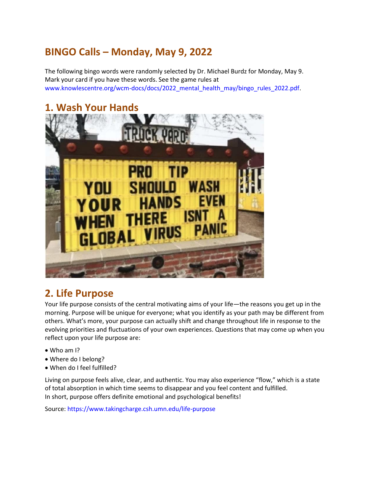# **BINGO Calls – Monday, May 9, 2022**

The following bingo words were randomly selected by Dr. Michael Burdz for Monday, May 9. Mark your card if you have these words. See the game rules at www.knowlescentre.org/wcm-docs/docs/2022\_mental\_health\_may/bingo\_rules\_2022.pdf.

## **1. Wash Your Hands**



## **2. Life Purpose**

Your life purpose consists of the central motivating aims of your life—the reasons you get up in the morning. Purpose will be unique for everyone; what you identify as your path may be different from others. What's more, your purpose can actually shift and change throughout life in response to the evolving priorities and fluctuations of your own experiences. Questions that may come up when you reflect upon your life purpose are:

- Who am I?
- Where do I belong?
- When do I feel fulfilled?

Living on purpose feels alive, clear, and authentic. You may also experience "flow," which is a state of total absorption in which time seems to disappear and you feel content and fulfilled. In short, purpose offers definite emotional and psychological benefits!

Source: https://www.takingcharge.csh.umn.edu/life-purpose